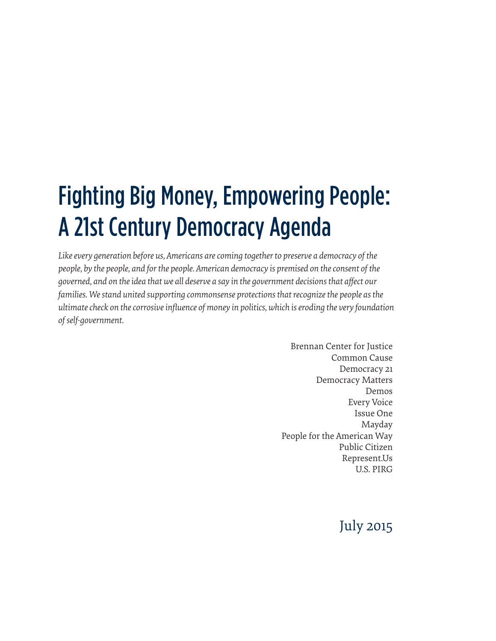## Fighting Big Money, Empowering People: A 21st Century Democracy Agenda

*Like every generation before us, Americans are coming together to preserve a democracy of the people, by the people, and for the people. American democracy is premised on the consent of the governed, and on the idea that we all deserve a say in the government decisions that affect our*  families. We stand united supporting commonsense protections that recognize the people as the *ultimate check on the corrosive influence of money in politics, which is eroding the very foundation of self-government.*

> Brennan Center for Justice Common Cause Democracy 21 Democracy Matters Demos Every Voice Issue One Mayday People for the American Way Public Citizen Represent.Us U.S. PIRG

### July 2015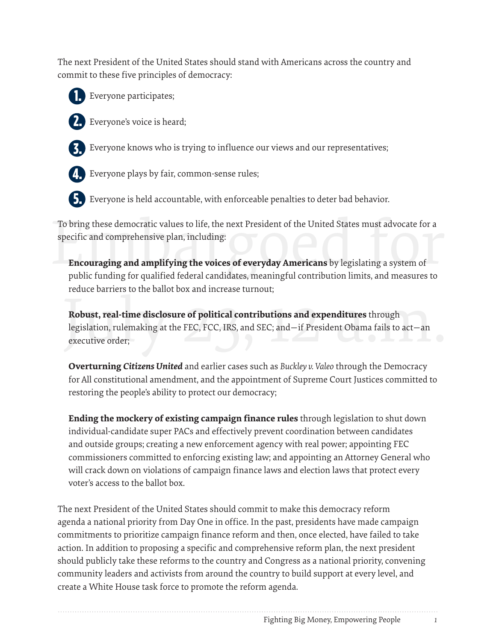The next President of the United States should stand with Americans across the country and commit to these five principles of democracy:



Everyone participates;



Everyone's voice is heard;



Everyone knows who is trying to influence our views and our representatives;



Everyone plays by fair, common-sense rules;



Everyone is held accountable, with enforceable penalties to deter bad behavior.

To bring these democratic values to life, the next President of the United States must advocate for a<br>specific and comprehensive plan, including:<br>**Encouraging and amplifying the voices of everyday Americans** by legislating To bring these democratic values to life, the next President of the United States must advocate for a specific and comprehensive plan, including:

**Encouraging and amplifying the voices of everyday Americans** by legislating a system of public funding for qualified federal candidates, meaningful contribution limits, and measures to reduce barriers to the ballot box and increase turnout;

Robust, real-time disclosure of political contributions and expenditures through<br>legislation, rulemaking at the FEC, FCC, IRS, and SEC; and—if President Obama fails to act—an<br>executive order; **Robust, real-time disclosure of political contributions and expenditures** through legislation, rulemaking at the FEC, FCC, IRS, and SEC; and—if President Obama fails to act—an executive order;

**Overturning** *Citizens United* and earlier cases such as *Buckley v. Valeo* through the Democracy for All constitutional amendment, and the appointment of Supreme Court Justices committed to restoring the people's ability to protect our democracy;

**Ending the mockery of existing campaign finance rules** through legislation to shut down individual-candidate super PACs and effectively prevent coordination between candidates and outside groups; creating a new enforcement agency with real power; appointing FEC commissioners committed to enforcing existing law; and appointing an Attorney General who will crack down on violations of campaign finance laws and election laws that protect every voter's access to the ballot box.

The next President of the United States should commit to make this democracy reform agenda a national priority from Day One in office. In the past, presidents have made campaign commitments to prioritize campaign finance reform and then, once elected, have failed to take action. In addition to proposing a specific and comprehensive reform plan, the next president should publicly take these reforms to the country and Congress as a national priority, convening community leaders and activists from around the country to build support at every level, and create a White House task force to promote the reform agenda.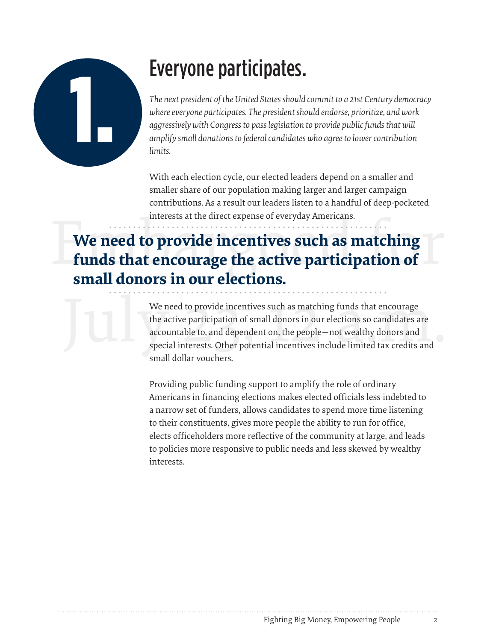

## Everyone participates.

*The next president of the United States should commit to a 21st Century democracy where everyone participates. The president should endorse, prioritize, and work aggressively with Congress to pass legislation to provide public funds that will amplify small donations to federal candidates who agree to lower contribution limits.*

With each election cycle, our elected leaders depend on a smaller and smaller share of our population making larger and larger campaign contributions. As a result our leaders listen to a handful of deep-pocketed interests at the direct expense of everyday Americans.

### interests at the direct expense of everyday Americans.<br> **Example 10 September 1976 incentives such as matching**<br> **Example 12 September 2021 degrees in some plantions or We need to provide incentives such as matching funds that encourage the active participation of small donors in our elections.**

We need to provide incentives such as matching funds that encourage<br>the active participation of small donors in our elections so candidates are<br>accountable to, and dependent on, the people—not wealthy donors and<br>special in We need to provide incentives such as matching funds that encourage the active participation of small donors in our elections so candidates are accountable to, and dependent on, the people—not wealthy donors and special interests. Other potential incentives include limited tax credits and small dollar vouchers.

> Providing public funding support to amplify the role of ordinary Americans in financing elections makes elected officials less indebted to a narrow set of funders, allows candidates to spend more time listening to their constituents, gives more people the ability to run for office, elects officeholders more reflective of the community at large, and leads to policies more responsive to public needs and less skewed by wealthy interests.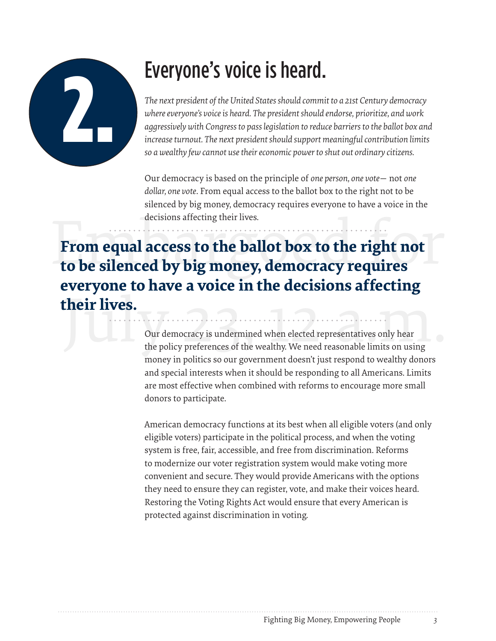

## Everyone's voice is heard.

*The next president of the United States should commit to a 21st Century democracy where everyone's voice is heard. The president should endorse, prioritize, and work aggressively with Congress to pass legislation to reduce barriers to the ballot box and increase turnout. The next president should support meaningful contribution limits so a wealthy few cannot use their economic power to shut out ordinary citizens.*

Our democracy is based on the principle of *one person, one vote*— not *one dollar, one vote*. From equal access to the ballot box to the right not to be silenced by big money, democracy requires everyone to have a voice in the decisions affecting their lives.

decisions affecting their lives.<br> **Erom equal access to the ballot box to the right not**<br> **to be silenced by big money, democracy requires** their lives.<br>
Our democracy is undermined when elected representatives only hear<br>
the policy preferences of the wealthy. We need reasonable limits on using **From equal access to the ballot box to the right not everyone to have a voice in the decisions affecting their lives.**

Our democracy is undermined when elected representatives only hear money in politics so our government doesn't just respond to wealthy donors and special interests when it should be responding to all Americans. Limits are most effective when combined with reforms to encourage more small donors to participate.

American democracy functions at its best when all eligible voters (and only eligible voters) participate in the political process, and when the voting system is free, fair, accessible, and free from discrimination. Reforms to modernize our voter registration system would make voting more convenient and secure. They would provide Americans with the options they need to ensure they can register, vote, and make their voices heard. Restoring the Voting Rights Act would ensure that every American is protected against discrimination in voting.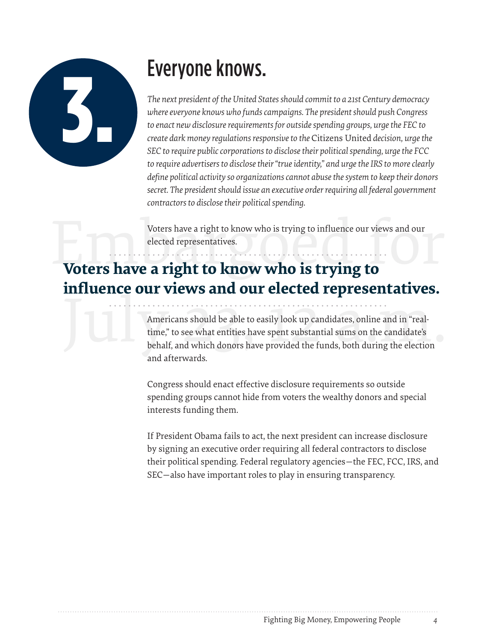

## Everyone knows.

*The next president of the United States should commit to a 21st Century democracy where everyone knows who funds campaigns. The president should push Congress to enact new disclosure requirements for outside spending groups, urge the FEC to create dark money regulations responsive to the* Citizens United *decision, urge the SEC to require public corporations to disclose their political spending, urge the FCC to require advertisers to disclose their "true identity," and urge the IRS to more clearly define political activity so organizations cannot abuse the system to keep their donors secret. The president should issue an executive order requiring all federal government contractors to disclose their political spending.*

Voters have a right to know who is trying to influence our views and our elected representatives.

# Voters have a right to know who is trying to influence our views and our elected representatives. **influence our views and our elected representatives.**

Americans should be able to easily look up candidates, online and in "real-<br>time," to see what entities have spent substantial sums on the candidate's<br>behalf, and which donors have provided the funds, both during the elect Americans should be able to easily look up candidates, online and in "realtime," to see what entities have spent substantial sums on the candidate's and afterwards.

> Congress should enact effective disclosure requirements so outside spending groups cannot hide from voters the wealthy donors and special interests funding them.

If President Obama fails to act, the next president can increase disclosure by signing an executive order requiring all federal contractors to disclose their political spending. Federal regulatory agencies—the FEC, FCC, IRS, and SEC—also have important roles to play in ensuring transparency.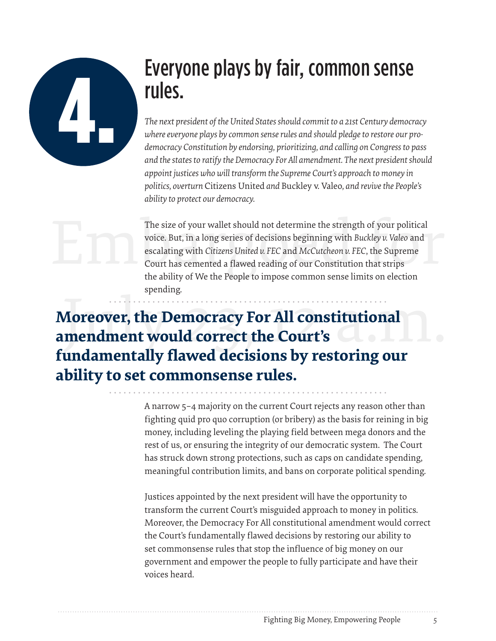

### Everyone plays by fair, common sense rules.

*The next president of the United States should commit to a 21st Century democracy where everyone plays by common sense rules and should pledge to restore our prodemocracy Constitution by endorsing, prioritizing, and calling on Congress to pass and the states to ratify the Democracy For All amendment. The next president should appoint justices who will transform the Supreme Court's approach to money in politics, overturn* Citizens United *and* Buckley v. Valeo*, and revive the People's ability to protect our democracy.*

The size of your wallet should not determine the strength of your political<br>voice. But, in a long series of decisions beginning with *Buckley v. Valeo* and<br>escalating with *Citizens United v. FEC* and *McCutcheon v. FEC*, The size of your wallet should not determine the strength of your political voice. But, in a long series of decisions beginning with *Buckley v. Valeo* and escalating with *Citizens United v. FEC* and *McCutcheon v. FEC*, the Supreme Court has cemented a flawed reading of our Constitution that strips the ability of We the People to impose common sense limits on election spending.

Moreover, the Democracy For All constitutional<br>amendment would correct the Court's<br>fundamentally flaved decisions by vectoring our **Moreover, the Democracy For All constitutional amendment would correct the Court's fundamentally flawed decisions by restoring our ability to set commonsense rules.**

> A narrow 5–4 majority on the current Court rejects any reason other than fighting quid pro quo corruption (or bribery) as the basis for reining in big money, including leveling the playing field between mega donors and the rest of us, or ensuring the integrity of our democratic system. The Court has struck down strong protections, such as caps on candidate spending, meaningful contribution limits, and bans on corporate political spending.

> Justices appointed by the next president will have the opportunity to transform the current Court's misguided approach to money in politics. Moreover, the Democracy For All constitutional amendment would correct the Court's fundamentally flawed decisions by restoring our ability to set commonsense rules that stop the influence of big money on our government and empower the people to fully participate and have their voices heard.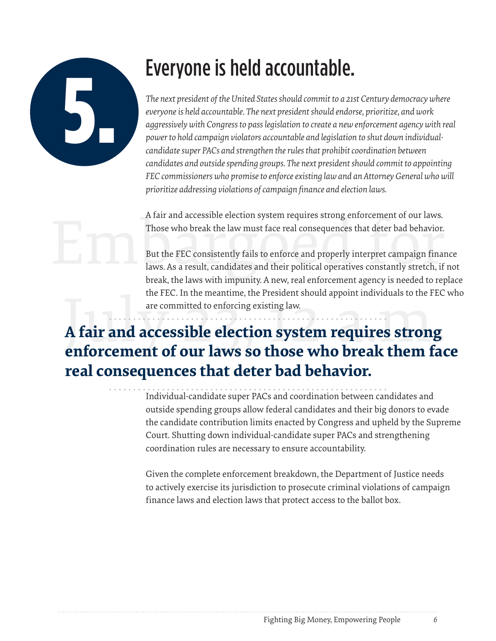

## Everyone is held accountable.

*The next president of the United States should commit to a 21st Century democracy where everyone is held accountable. The next president should endorse, prioritize, and work aggressively with Congress to pass legislation to create a new enforcement agency with real power to hold campaign violators accountable and legislation to shut down individualcandidate super PACs and strengthen the rules that prohibit coordination between candidates and outside spending groups. The next president should commit to appointing FEC commissioners who promise to enforce existing law and an Attorney General who will prioritize addressing violations of campaign finance and election laws.*

A fair and accessible election system requires strong enforcement of our laws. Those who break the law must face real consequences that deter bad behavior.

A fair and accessible election system requires strong enforcement of our laws.<br>Those who break the law must face real consequences that deter bad behavior.<br>But the FEC consistently fails to enforce and properly interpret c But the FEC consistently fails to enforce and properly interpret campaign finance laws. As a result, candidates and their political operatives constantly stretch, if not break, the laws with impunity. A new, real enforcement agency is needed to replace the FEC. In the meantime, the President should appoint individuals to the FEC who are committed to enforcing existing law.

### the FEC. In the meantime, the President should appoint individuals to the FEC<br>are committed to enforcing existing law.<br>**A fair and accessible election system requires strong**<br>**enforcement of our laws so those who break the A fair and accessible election system requires strong enforcement of our laws so those who break them face real consequences that deter bad behavior.**

Individual-candidate super PACs and coordination between candidates and outside spending groups allow federal candidates and their big donors to evade the candidate contribution limits enacted by Congress and upheld by the Supreme Court. Shutting down individual-candidate super PACs and strengthening coordination rules are necessary to ensure accountability.

Given the complete enforcement breakdown, the Department of Justice needs to actively exercise its jurisdiction to prosecute criminal violations of campaign finance laws and election laws that protect access to the ballot box.